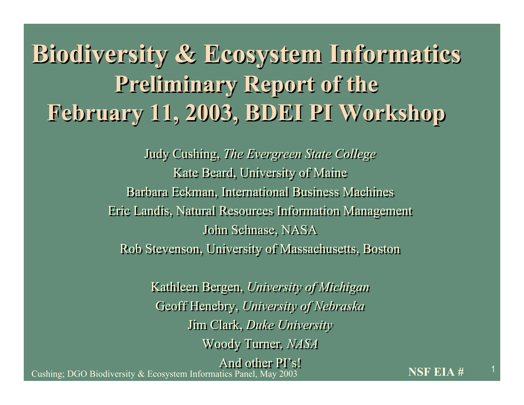### **Biodiversity & Ecosystem Informatics Biodiversity & Ecosystem Informatics Preliminary Report of the Preliminary Report of the February 11, 2003, BDEI PI Workshop February 11, 2003, BDEI PI Workshop**

Judy Cushing, *The Evergreen State College* Judy Cushing, *The Evergreen State College* Kate Beard, University of Maine Kate Beard, University of Maine Barbara Eckman, International Business Machines Barbara Eckman, International Business Machines Eric Landis, Natural Resources Information Management Eric Landis, Natural Resources Information Management John Schnase, NASA John Schnase, NASA Rob Stevenson, University of Massachusetts, Boston Rob Stevenson, University of Massachusetts, Boston

> Kathleen Bergen, *University of Michigan* Kathleen Bergen, *University of Michigan* Geoff Henebry, *University of Nebraska* Geoff Henebry, *University of Nebraska* Jim Clark, *Duke University* Jim Clark, *Duke University* Woody Turner*, NASA* Woody Turner*, NASA* And other PI's! And other PI's!

<sup>1</sup> Cushing; DGO Biodiversity & Ecosystem Informatics Panel, May 2003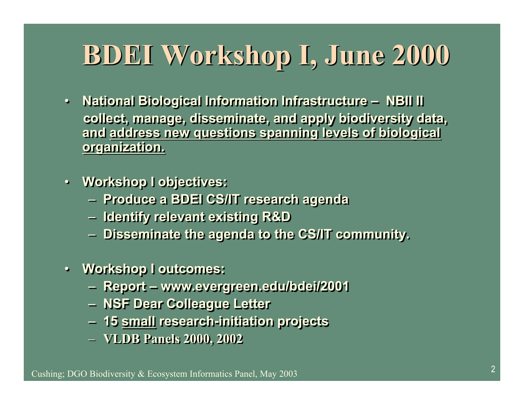# **BDEI Workshop I, June 2000**

- **National Biological Information Infrastructure NBII II National Biological Information Infrastructure NBII II collect, manage, disseminate, and apply biodiversity data, collect, manage, disseminate, and apply biodiversity data, and address new questions spanning levels of biological and address new questions spanning levels of biological organization. organization.**
- **Workshop I objectives: Workshop I objectives:**
	- **Produce a BDEI CS/IT research agenda Produce a BDEI CS/IT research agenda**
	- **Identify relevant existing R&D Identify relevant existing R&D**
	- **Disseminate the agenda to the CS/IT community. Disseminate the agenda to the CS/IT community.**
- **Workshop I outcomes: Workshop I outcomes:**
	- **Report www.evergreen.edu/bdei/2001 Report www.evergreen.edu/bdei/2001**
	- **NSF Dear Colleague Letter NSF Dear Colleague Letter**
	- **15 small research-initiation projects 15 small research-initiation projects**
	- **VLDB Panels 2000, 2002 VLDB Panels 2000, 2002**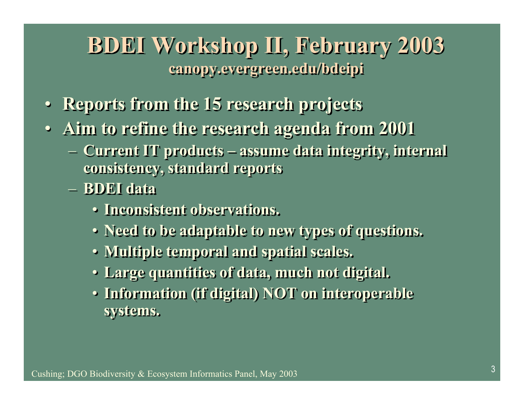#### **BDEI Workshop II, February 2003 BDEI Workshop II, February 2003 canopy.evergreen.edu/bdeipi canopy.evergreen.edu/bdeipi**

- **Reports from the 15 research projects Reports from the 15 research projects**
- **Aim to refine the research agenda from 2001 Aim to refine the research agenda from 2001**
	- **Current IT products assume data integrity, internal Current IT products assume data integrity, internal consistency, standard reports consistency, standard reports**
	- **BDEI data BDEI data**
		- **Inconsistent observations. Inconsistent observations.**
		- **Need to be adaptable to new types of questions. Need to be adaptable to new types of questions.**
		- **Multiple temporal and spatial scales. Multiple temporal and spatial scales.**
		- **Large quantities of data, much not digital. Large quantities of data, much not digital.**
		- **Information (if digital) NOT on interoperable Information (if digital) NOT on interoperable systems. systems.**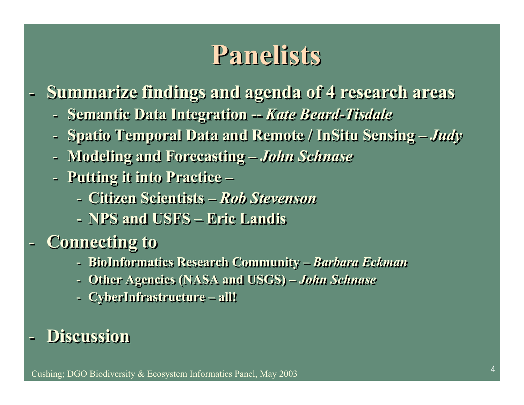### **Panelists**

- **Summarize findings and agenda of 4 research areas Summarize findings and agenda of 4 research areas**
	- **Semantic Data Integration --** *Kate Beard-Tisdale* **Semantic Data Integration --** *Kate Beard-Tisdale*
	- **Spatio Temporal Data and Remote / InSitu Sensing** *Judy* **Spatio Temporal Data and Remote / InSitu Sensing** *Judy*
	- **Modeling and Forecasting** *John Schnase* **Modeling and Forecasting** *John Schnase*
	- **Putting it into Practice – Putting it into Practice –**
		- **Citizen Scientists** *Rob Stevenson* **Citizen Scientists** *Rob Stevenson*
		- **NPS and USFS****Eric Landis NPS and USFS****Eric Landis**
- **Connecting to Connecting to**
	- **BioInformatics Research Community** *Barbara Eckman* **BioInformatics Research Community** *Barbara Eckman*
	- **Other Agencies (NASA and USGS)** *John Schnase* **Other Agencies (NASA and USGS)** *John Schnase*
	- **CyberInfrastructure – all! CyberInfrastructure – all!**

#### - **Discussion** - **Discussion**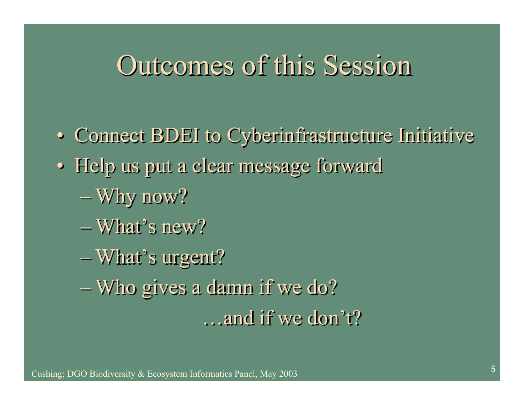#### Outcomes of this Session

- Connect BDEI to Cyberinfrastructure Initiative Connect BDEI to Cyberinfrastructure Initiative
- Help us put a clear message forward Help us put a clear message forward
	- Why now? Why now?
	- What's new? What's new?
	- What's urgent? What's urgent?
	- Who gives a damn if we do? Who gives a damn if we do?

…and if we don't? …and if we don't?